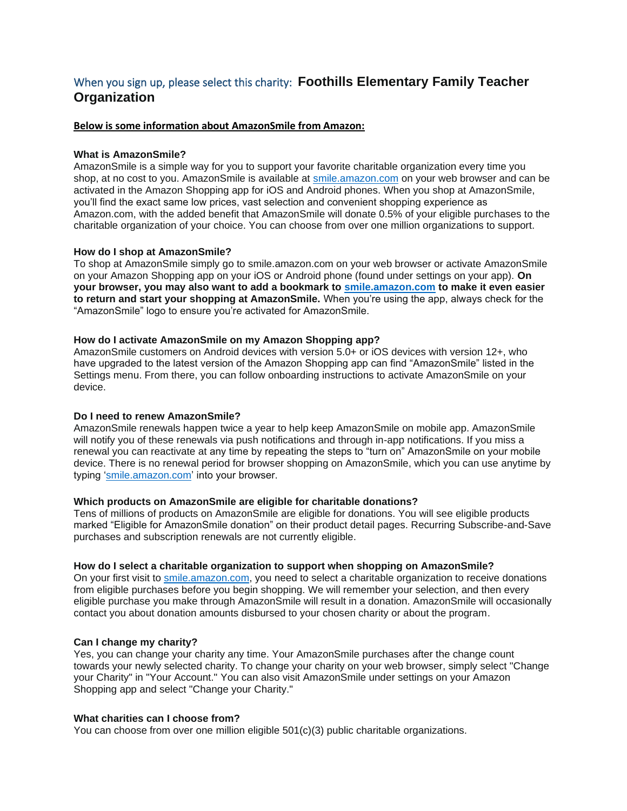# When you sign up, please select this charity: **Foothills Elementary Family Teacher Organization**

#### **Below is some information about AmazonSmile from Amazon:**

#### **What is AmazonSmile?**

AmazonSmile is a simple way for you to support your favorite charitable organization every time you shop, at no cost to you. AmazonSmile is available at [smile.amazon.com](https://smile.amazon.com/ref=smi_se_saas_lsmi_smi) on your web browser and can be activated in the Amazon Shopping app for iOS and Android phones. When you shop at AmazonSmile, you'll find the exact same low prices, vast selection and convenient shopping experience as Amazon.com, with the added benefit that AmazonSmile will donate 0.5% of your eligible purchases to the charitable organization of your choice. You can choose from over one million organizations to support.

### **How do I shop at AmazonSmile?**

To shop at AmazonSmile simply go to smile.amazon.com on your web browser or activate AmazonSmile on your Amazon Shopping app on your iOS or Android phone (found under settings on your app). **On your browser, you may also want to add a bookmark to [smile.amazon.com](https://smile.amazon.com/ref=smi_se_saas_lsmi_smi) to make it even easier to return and start your shopping at AmazonSmile.** When you're using the app, always check for the "AmazonSmile" logo to ensure you're activated for AmazonSmile.

#### **How do I activate AmazonSmile on my Amazon Shopping app?**

AmazonSmile customers on Android devices with version 5.0+ or iOS devices with version 12+, who have upgraded to the latest version of the Amazon Shopping app can find "AmazonSmile" listed in the Settings menu. From there, you can follow onboarding instructions to activate AmazonSmile on your device.

#### **Do I need to renew AmazonSmile?**

AmazonSmile renewals happen twice a year to help keep AmazonSmile on mobile app. AmazonSmile will notify you of these renewals via push notifications and through in-app notifications. If you miss a renewal you can reactivate at any time by repeating the steps to "turn on" AmazonSmile on your mobile device. There is no renewal period for browser shopping on AmazonSmile, which you can use anytime by typing ['smile.amazon.com'](https://smile.amazon.com/ref=smi_se_saas_lsmi_smi) into your browser.

### **Which products on AmazonSmile are eligible for charitable donations?**

Tens of millions of products on AmazonSmile are eligible for donations. You will see eligible products marked "Eligible for AmazonSmile donation" on their product detail pages. Recurring Subscribe-and-Save purchases and subscription renewals are not currently eligible.

#### **How do I select a charitable organization to support when shopping on AmazonSmile?**

On your first visit to [smile.amazon.com,](https://smile.amazon.com/ref=smi_se_saas_lsmi_smi) you need to select a charitable organization to receive donations from eligible purchases before you begin shopping. We will remember your selection, and then every eligible purchase you make through AmazonSmile will result in a donation. AmazonSmile will occasionally contact you about donation amounts disbursed to your chosen charity or about the program.

#### **Can I change my charity?**

Yes, you can change your charity any time. Your AmazonSmile purchases after the change count towards your newly selected charity. To change your charity on your web browser, simply select "Change your Charity" in "Your Account." You can also visit AmazonSmile under settings on your Amazon Shopping app and select "Change your Charity."

# **What charities can I choose from?**

You can choose from over one million eligible  $501(c)(3)$  public charitable organizations.